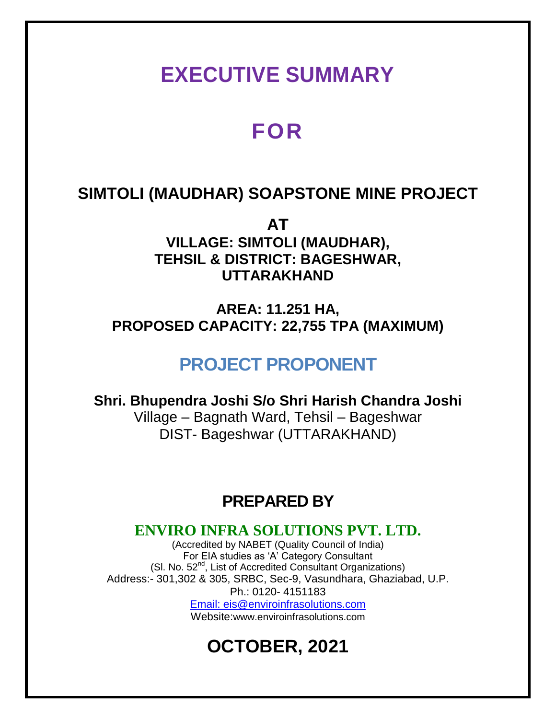# **EXECUTIVE SUMMARY**

# **FOR**

## **SIMTOLI (MAUDHAR) SOAPSTONE MINE PROJECT**

**AT VILLAGE: SIMTOLI (MAUDHAR), TEHSIL & DISTRICT: BAGESHWAR, UTTARAKHAND** 

**AREA: 11.251 HA, PROPOSED CAPACITY: 22,755 TPA (MAXIMUM)**

## **PROJECT PROPONENT**

**Shri. Bhupendra Joshi S/o Shri Harish Chandra Joshi** Village – Bagnath Ward, Tehsil – Bageshwar DIST- Bageshwar (UTTARAKHAND)

## **PREPARED BY**

### **ENVIRO INFRA SOLUTIONS PVT. LTD.**

(Accredited by NABET (Quality Council of India) For EIA studies as 'A' Category Consultant (SI. No. 52<sup>nd</sup>, List of Accredited Consultant Organizations) Address:- 301,302 & 305, SRBC, Sec-9, Vasundhara, Ghaziabad, U.P. Ph.: 0120- 4151183 Email: eis@enviroinfrasolutions.com Website:www.enviroinfrasolutions.com

# **OCTOBER, 2021**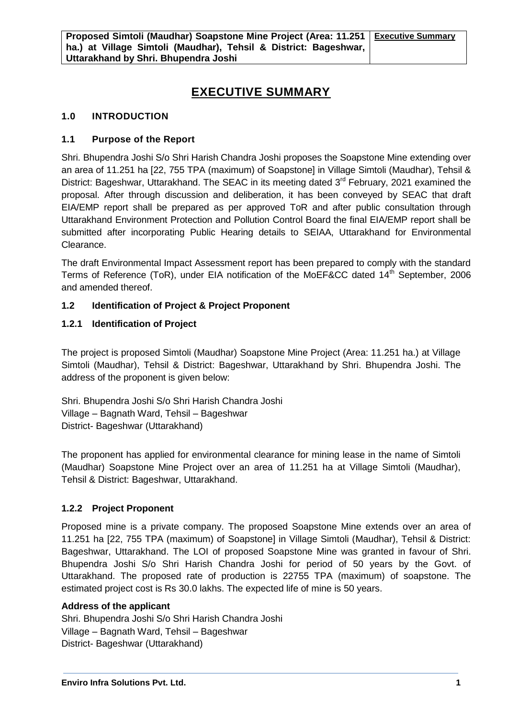### **EXECUTIVE SUMMARY**

#### **1.0 INTRODUCTION**

#### **1.1 Purpose of the Report**

Shri. Bhupendra Joshi S/o Shri Harish Chandra Joshi proposes the Soapstone Mine extending over an area of 11.251 ha [22, 755 TPA (maximum) of Soapstone] in Village Simtoli (Maudhar), Tehsil & District: Bageshwar, Uttarakhand. The SEAC in its meeting dated 3<sup>rd</sup> February, 2021 examined the proposal. After through discussion and deliberation, it has been conveyed by SEAC that draft EIA/EMP report shall be prepared as per approved ToR and after public consultation through Uttarakhand Environment Protection and Pollution Control Board the final EIA/EMP report shall be submitted after incorporating Public Hearing details to SEIAA, Uttarakhand for Environmental Clearance.

The draft Environmental Impact Assessment report has been prepared to comply with the standard Terms of Reference (ToR), under EIA notification of the MoEF&CC dated 14<sup>th</sup> September, 2006 and amended thereof.

#### **1.2 Identification of Project & Project Proponent**

#### **1.2.1 Identification of Project**

The project is proposed Simtoli (Maudhar) Soapstone Mine Project (Area: 11.251 ha.) at Village Simtoli (Maudhar), Tehsil & District: Bageshwar, Uttarakhand by Shri. Bhupendra Joshi. The address of the proponent is given below:

Shri. Bhupendra Joshi S/o Shri Harish Chandra Joshi Village – Bagnath Ward, Tehsil – Bageshwar District- Bageshwar (Uttarakhand)

The proponent has applied for environmental clearance for mining lease in the name of Simtoli (Maudhar) Soapstone Mine Project over an area of 11.251 ha at Village Simtoli (Maudhar), Tehsil & District: Bageshwar, Uttarakhand.

#### **1.2.2 Project Proponent**

Proposed mine is a private company. The proposed Soapstone Mine extends over an area of 11.251 ha [22, 755 TPA (maximum) of Soapstone] in Village Simtoli (Maudhar), Tehsil & District: Bageshwar, Uttarakhand. The LOI of proposed Soapstone Mine was granted in favour of Shri. Bhupendra Joshi S/o Shri Harish Chandra Joshi for period of 50 years by the Govt. of Uttarakhand. The proposed rate of production is 22755 TPA (maximum) of soapstone. The estimated project cost is Rs 30.0 lakhs. The expected life of mine is 50 years.

#### **Address of the applicant**

Shri. Bhupendra Joshi S/o Shri Harish Chandra Joshi Village – Bagnath Ward, Tehsil – Bageshwar District- Bageshwar (Uttarakhand)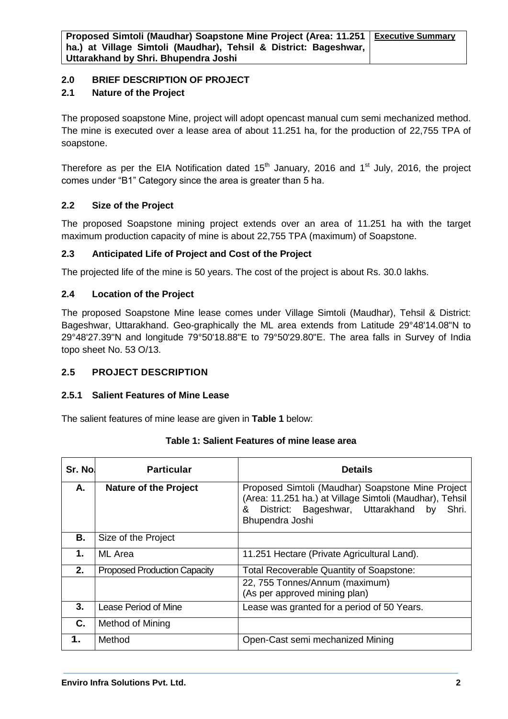#### **2.0 BRIEF DESCRIPTION OF PROJECT**

#### **2.1 Nature of the Project**

The proposed soapstone Mine, project will adopt opencast manual cum semi mechanized method. The mine is executed over a lease area of about 11.251 ha, for the production of 22,755 TPA of soapstone.

Therefore as per the EIA Notification dated  $15<sup>th</sup>$  January, 2016 and  $1<sup>st</sup>$  July, 2016, the project comes under "B1" Category since the area is greater than 5 ha.

#### **2.2 Size of the Project**

The proposed Soapstone mining project extends over an area of 11.251 ha with the target maximum production capacity of mine is about 22,755 TPA (maximum) of Soapstone.

#### **2.3 Anticipated Life of Project and Cost of the Project**

The projected life of the mine is 50 years. The cost of the project is about Rs. 30.0 lakhs.

#### **2.4 Location of the Project**

The proposed Soapstone Mine lease comes under Village Simtoli (Maudhar), Tehsil & District: Bageshwar, Uttarakhand. Geo-graphically the ML area extends from Latitude 29°48'14.08"N to 29°48'27.39"N and longitude 79°50'18.88"E to 79°50'29.80"E. The area falls in Survey of India topo sheet No. 53 O/13.

#### **2.5 PROJECT DESCRIPTION**

#### **2.5.1 Salient Features of Mine Lease**

The salient features of mine lease are given in **Table 1** below:

| Sr. No. | <b>Particular</b>                   | <b>Details</b>                                                                                                                                                                       |  |
|---------|-------------------------------------|--------------------------------------------------------------------------------------------------------------------------------------------------------------------------------------|--|
| А.      | <b>Nature of the Project</b>        | Proposed Simtoli (Maudhar) Soapstone Mine Project<br>(Area: 11.251 ha.) at Village Simtoli (Maudhar), Tehsil<br>District: Bageshwar, Uttarakhand by<br>&<br>Shri.<br>Bhupendra Joshi |  |
| В.      | Size of the Project                 |                                                                                                                                                                                      |  |
| 1.      | ML Area                             | 11.251 Hectare (Private Agricultural Land).                                                                                                                                          |  |
| 2.      | <b>Proposed Production Capacity</b> | Total Recoverable Quantity of Soapstone:                                                                                                                                             |  |
|         |                                     | 22, 755 Tonnes/Annum (maximum)<br>(As per approved mining plan)                                                                                                                      |  |
| 3.      | Lease Period of Mine                | Lease was granted for a period of 50 Years.                                                                                                                                          |  |
| C.      | Method of Mining                    |                                                                                                                                                                                      |  |
| 1.      | Method                              | Open-Cast semi mechanized Mining                                                                                                                                                     |  |

#### **Table 1: Salient Features of mine lease area**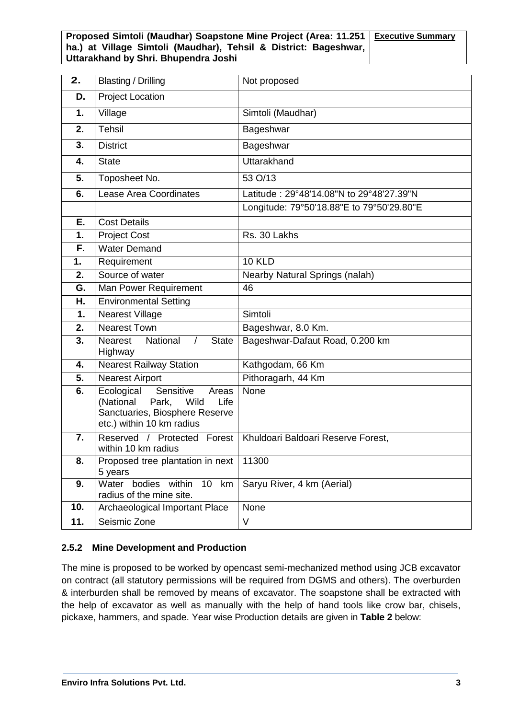| 2.               | <b>Blasting / Drilling</b>                                                                                                            | Not proposed                              |
|------------------|---------------------------------------------------------------------------------------------------------------------------------------|-------------------------------------------|
| D.               | <b>Project Location</b>                                                                                                               |                                           |
| 1.               | Village                                                                                                                               | Simtoli (Maudhar)                         |
| 2.               | <b>Tehsil</b>                                                                                                                         | Bageshwar                                 |
| 3.               | <b>District</b>                                                                                                                       | Bageshwar                                 |
| 4.               | <b>State</b>                                                                                                                          | Uttarakhand                               |
| 5.               | Toposheet No.                                                                                                                         | 53 O/13                                   |
| 6.               | <b>Lease Area Coordinates</b>                                                                                                         | Latitude: 29°48'14.08"N to 29°48'27.39"N  |
|                  |                                                                                                                                       | Longitude: 79°50'18.88"E to 79°50'29.80"E |
| Ε.               | <b>Cost Details</b>                                                                                                                   |                                           |
| 1.               | <b>Project Cost</b>                                                                                                                   | Rs. 30 Lakhs                              |
| F.               | <b>Water Demand</b>                                                                                                                   |                                           |
| 1.               | Requirement                                                                                                                           | <b>10 KLD</b>                             |
| 2.               | Source of water                                                                                                                       | Nearby Natural Springs (nalah)            |
| G.               | Man Power Requirement                                                                                                                 | 46                                        |
| Н.               | <b>Environmental Setting</b>                                                                                                          |                                           |
| 1.               | <b>Nearest Village</b>                                                                                                                | Simtoli                                   |
| 2.               | <b>Nearest Town</b>                                                                                                                   | Bageshwar, 8.0 Km.                        |
| $\overline{3}$ . | National<br>$\sqrt{ }$<br><b>Nearest</b><br><b>State</b><br>Highway                                                                   | Bageshwar-Dafaut Road, 0.200 km           |
| 4.               | <b>Nearest Railway Station</b>                                                                                                        | Kathgodam, 66 Km                          |
| 5.               | <b>Nearest Airport</b>                                                                                                                | Pithoragarh, 44 Km                        |
| 6.               | Ecological<br>Sensitive<br>Areas<br>(National<br>Wild<br>Life<br>Park,<br>Sanctuaries, Biosphere Reserve<br>etc.) within 10 km radius | None                                      |
| 7.               | Reserved / Protected<br>Forest<br>within 10 km radius                                                                                 | Khuldoari Baldoari Reserve Forest,        |
| 8.               | Proposed tree plantation in next<br>5 years                                                                                           | 11300                                     |
| 9.               | Water bodies within<br>$\overline{10}$<br>km<br>radius of the mine site.                                                              | Saryu River, 4 km (Aerial)                |
| 10.              | Archaeological Important Place                                                                                                        | None                                      |
| 11.              | Seismic Zone                                                                                                                          | V                                         |

#### **2.5.2 Mine Development and Production**

The mine is proposed to be worked by opencast semi-mechanized method using JCB excavator on contract (all statutory permissions will be required from DGMS and others). The overburden & interburden shall be removed by means of excavator. The soapstone shall be extracted with the help of excavator as well as manually with the help of hand tools like crow bar, chisels, pickaxe, hammers, and spade. Year wise Production details are given in **Table 2** below: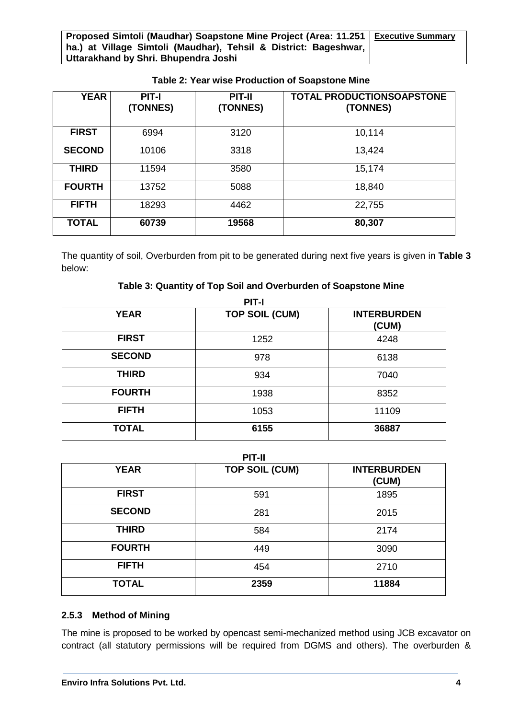| <b>YEAR</b>   | <b>PIT-I</b><br>(TONNES) | <b>PIT-II</b><br>(TONNES) | <b>TOTAL PRODUCTIONSOAPSTONE</b><br>(TONNES) |
|---------------|--------------------------|---------------------------|----------------------------------------------|
| <b>FIRST</b>  | 6994                     | 3120                      | 10,114                                       |
| <b>SECOND</b> | 10106                    | 3318                      | 13,424                                       |
| <b>THIRD</b>  | 11594                    | 3580                      | 15,174                                       |
| <b>FOURTH</b> | 13752                    | 5088                      | 18,840                                       |
| <b>FIFTH</b>  | 18293                    | 4462                      | 22,755                                       |
| <b>TOTAL</b>  | 60739                    | 19568                     | 80,307                                       |

#### **Table 2: Year wise Production of Soapstone Mine**

The quantity of soil, Overburden from pit to be generated during next five years is given in **Table 3** below:

#### **Table 3: Quantity of Top Soil and Overburden of Soapstone Mine**

| <b>PIT-I</b>  |                       |                             |  |
|---------------|-----------------------|-----------------------------|--|
| <b>YEAR</b>   | <b>TOP SOIL (CUM)</b> | <b>INTERBURDEN</b><br>(CUM) |  |
| <b>FIRST</b>  | 1252                  | 4248                        |  |
| <b>SECOND</b> | 978                   | 6138                        |  |
| <b>THIRD</b>  | 934                   | 7040                        |  |
| <b>FOURTH</b> | 1938                  | 8352                        |  |
| <b>FIFTH</b>  | 1053                  | 11109                       |  |
| <b>TOTAL</b>  | 6155                  | 36887                       |  |

**PIT-II**

| <b>YEAR</b>   | <b>TOP SOIL (CUM)</b> | <b>INTERBURDEN</b><br>(CUM) |
|---------------|-----------------------|-----------------------------|
| <b>FIRST</b>  | 591                   | 1895                        |
| <b>SECOND</b> | 281                   | 2015                        |
| <b>THIRD</b>  | 584                   | 2174                        |
| <b>FOURTH</b> | 449                   | 3090                        |
| <b>FIFTH</b>  | 454                   | 2710                        |
| <b>TOTAL</b>  | 2359                  | 11884                       |

#### **2.5.3 Method of Mining**

The mine is proposed to be worked by opencast semi-mechanized method using JCB excavator on contract (all statutory permissions will be required from DGMS and others). The overburden &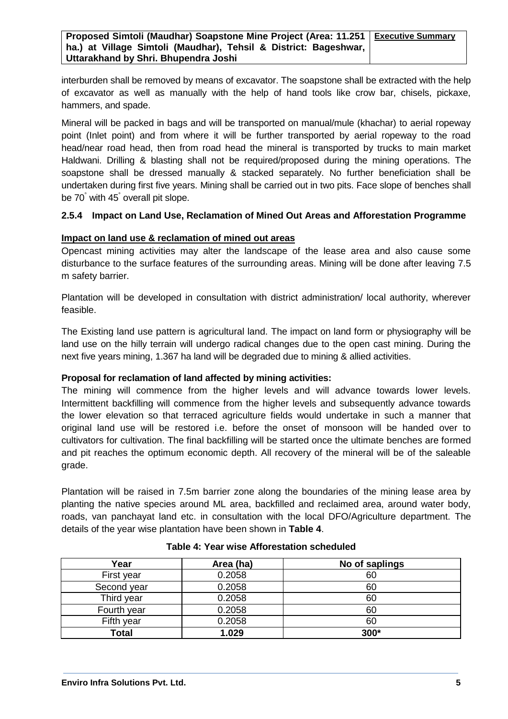interburden shall be removed by means of excavator. The soapstone shall be extracted with the help of excavator as well as manually with the help of hand tools like crow bar, chisels, pickaxe, hammers, and spade.

Mineral will be packed in bags and will be transported on manual/mule (khachar) to aerial ropeway point (Inlet point) and from where it will be further transported by aerial ropeway to the road head/near road head, then from road head the mineral is transported by trucks to main market Haldwani. Drilling & blasting shall not be required/proposed during the mining operations. The soapstone shall be dressed manually & stacked separately. No further beneficiation shall be undertaken during first five years. Mining shall be carried out in two pits. Face slope of benches shall be 70° with 45° overall pit slope.

#### **2.5.4 Impact on Land Use, Reclamation of Mined Out Areas and Afforestation Programme**

#### **Impact on land use & reclamation of mined out areas**

Opencast mining activities may alter the landscape of the lease area and also cause some disturbance to the surface features of the surrounding areas. Mining will be done after leaving 7.5 m safety barrier.

Plantation will be developed in consultation with district administration/ local authority, wherever feasible.

The Existing land use pattern is agricultural land. The impact on land form or physiography will be land use on the hilly terrain will undergo radical changes due to the open cast mining. During the next five years mining, 1.367 ha land will be degraded due to mining & allied activities.

#### **Proposal for reclamation of land affected by mining activities:**

The mining will commence from the higher levels and will advance towards lower levels. Intermittent backfilling will commence from the higher levels and subsequently advance towards the lower elevation so that terraced agriculture fields would undertake in such a manner that original land use will be restored i.e. before the onset of monsoon will be handed over to cultivators for cultivation. The final backfilling will be started once the ultimate benches are formed and pit reaches the optimum economic depth. All recovery of the mineral will be of the saleable grade.

Plantation will be raised in 7.5m barrier zone along the boundaries of the mining lease area by planting the native species around ML area, backfilled and reclaimed area, around water body, roads, van panchayat land etc. in consultation with the local DFO/Agriculture department. The details of the year wise plantation have been shown in **Table 4**.

| Year         | Area (ha) | No of saplings |
|--------------|-----------|----------------|
| First year   | 0.2058    | 60             |
| Second year  | 0.2058    | 60             |
| Third year   | 0.2058    | 60             |
| Fourth year  | 0.2058    | 60             |
| Fifth year   | 0.2058    | 60             |
| <b>Total</b> | 1.029     | 300*           |

#### **Table 4: Year wise Afforestation scheduled**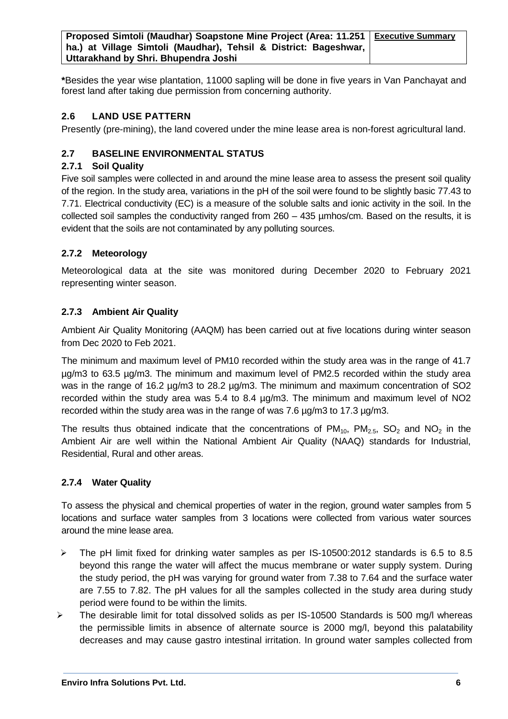**\***Besides the year wise plantation, 11000 sapling will be done in five years in Van Panchayat and forest land after taking due permission from concerning authority.

#### **2.6 LAND USE PATTERN**

Presently (pre-mining), the land covered under the mine lease area is non-forest agricultural land.

#### **2.7 BASELINE ENVIRONMENTAL STATUS**

#### **2.7.1 Soil Quality**

Five soil samples were collected in and around the mine lease area to assess the present soil quality of the region. In the study area, variations in the pH of the soil were found to be slightly basic 77.43 to 7.71. Electrical conductivity (EC) is a measure of the soluble salts and ionic activity in the soil. In the collected soil samples the conductivity ranged from 260 – 435 µmhos/cm. Based on the results, it is evident that the soils are not contaminated by any polluting sources.

#### **2.7.2 Meteorology**

Meteorological data at the site was monitored during December 2020 to February 2021 representing winter season.

#### **2.7.3 Ambient Air Quality**

Ambient Air Quality Monitoring (AAQM) has been carried out at five locations during winter season from Dec 2020 to Feb 2021.

The minimum and maximum level of PM10 recorded within the study area was in the range of 41.7 µg/m3 to 63.5 µg/m3. The minimum and maximum level of PM2.5 recorded within the study area was in the range of 16.2  $\mu$ g/m3 to 28.2  $\mu$ g/m3. The minimum and maximum concentration of SO2 recorded within the study area was 5.4 to 8.4 µg/m3. The minimum and maximum level of NO2 recorded within the study area was in the range of was 7.6 µg/m3 to 17.3 µg/m3.

The results thus obtained indicate that the concentrations of  $PM_{10}$ ,  $PM_{2.5}$ ,  $SO_2$  and  $NO_2$  in the Ambient Air are well within the National Ambient Air Quality (NAAQ) standards for Industrial, Residential, Rural and other areas.

#### **2.7.4 Water Quality**

To assess the physical and chemical properties of water in the region, ground water samples from 5 locations and surface water samples from 3 locations were collected from various water sources around the mine lease area.

- $\triangleright$  The pH limit fixed for drinking water samples as per IS-10500:2012 standards is 6.5 to 8.5 beyond this range the water will affect the mucus membrane or water supply system. During the study period, the pH was varying for ground water from 7.38 to 7.64 and the surface water are 7.55 to 7.82. The pH values for all the samples collected in the study area during study period were found to be within the limits.
- $\geq$  The desirable limit for total dissolved solids as per IS-10500 Standards is 500 mg/l whereas the permissible limits in absence of alternate source is 2000 mg/l, beyond this palatability decreases and may cause gastro intestinal irritation. In ground water samples collected from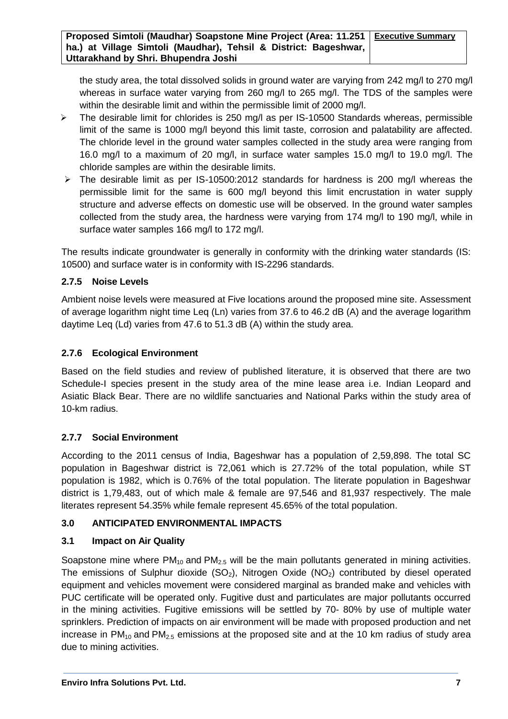the study area, the total dissolved solids in ground water are varying from 242 mg/l to 270 mg/l whereas in surface water varying from 260 mg/l to 265 mg/l. The TDS of the samples were within the desirable limit and within the permissible limit of 2000 mg/l.

- $\triangleright$  The desirable limit for chlorides is 250 mg/l as per IS-10500 Standards whereas, permissible limit of the same is 1000 mg/l beyond this limit taste, corrosion and palatability are affected. The chloride level in the ground water samples collected in the study area were ranging from 16.0 mg/l to a maximum of 20 mg/l, in surface water samples 15.0 mg/l to 19.0 mg/l. The chloride samples are within the desirable limits.
- $\triangleright$  The desirable limit as per IS-10500:2012 standards for hardness is 200 mg/l whereas the permissible limit for the same is 600 mg/l beyond this limit encrustation in water supply structure and adverse effects on domestic use will be observed. In the ground water samples collected from the study area, the hardness were varying from 174 mg/l to 190 mg/l, while in surface water samples 166 mg/l to 172 mg/l.

The results indicate groundwater is generally in conformity with the drinking water standards (IS: 10500) and surface water is in conformity with IS-2296 standards.

#### **2.7.5 Noise Levels**

Ambient noise levels were measured at Five locations around the proposed mine site. Assessment of average logarithm night time Leq (Ln) varies from 37.6 to 46.2 dB (A) and the average logarithm daytime Leq (Ld) varies from 47.6 to 51.3 dB (A) within the study area.

#### **2.7.6 Ecological Environment**

Based on the field studies and review of published literature, it is observed that there are two Schedule-I species present in the study area of the mine lease area i.e. Indian Leopard and Asiatic Black Bear. There are no wildlife sanctuaries and National Parks within the study area of 10-km radius.

#### **2.7.7 Social Environment**

According to the 2011 census of India, Bageshwar has a population of 2,59,898. The total SC population in Bageshwar district is 72,061 which is 27.72% of the total population, while ST population is 1982, which is 0.76% of the total population. The literate population in Bageshwar district is 1,79,483, out of which male & female are 97,546 and 81,937 respectively. The male literates represent 54.35% while female represent 45.65% of the total population.

#### **3.0 ANTICIPATED ENVIRONMENTAL IMPACTS**

#### **3.1 Impact on Air Quality**

Soapstone mine where  $PM_{10}$  and  $PM_{2.5}$  will be the main pollutants generated in mining activities. The emissions of Sulphur dioxide  $(SO_2)$ , Nitrogen Oxide  $(NO_2)$  contributed by diesel operated equipment and vehicles movement were considered marginal as branded make and vehicles with PUC certificate will be operated only. Fugitive dust and particulates are major pollutants occurred in the mining activities. Fugitive emissions will be settled by 70- 80% by use of multiple water sprinklers. Prediction of impacts on air environment will be made with proposed production and net increase in  $PM_{10}$  and  $PM_{2.5}$  emissions at the proposed site and at the 10 km radius of study area due to mining activities.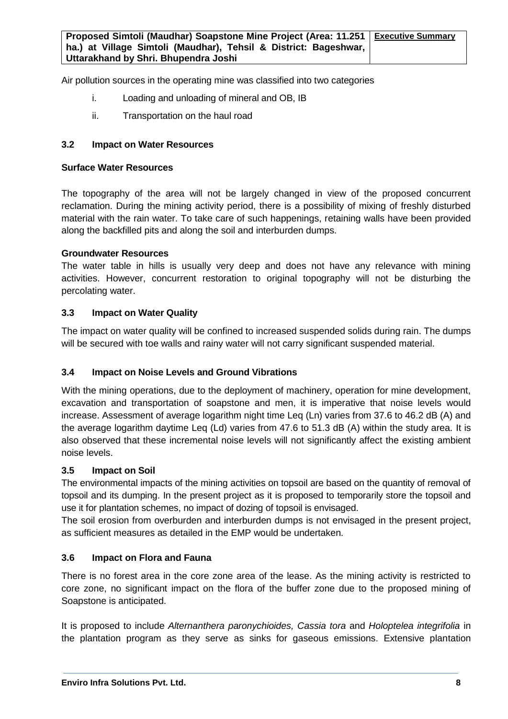Air pollution sources in the operating mine was classified into two categories

- i. Loading and unloading of mineral and OB, IB
- ii. Transportation on the haul road

#### **3.2 Impact on Water Resources**

#### **Surface Water Resources**

The topography of the area will not be largely changed in view of the proposed concurrent reclamation. During the mining activity period, there is a possibility of mixing of freshly disturbed material with the rain water. To take care of such happenings, retaining walls have been provided along the backfilled pits and along the soil and interburden dumps.

#### **Groundwater Resources**

The water table in hills is usually very deep and does not have any relevance with mining activities. However, concurrent restoration to original topography will not be disturbing the percolating water.

#### **3.3 Impact on Water Quality**

The impact on water quality will be confined to increased suspended solids during rain. The dumps will be secured with toe walls and rainy water will not carry significant suspended material.

#### **3.4 Impact on Noise Levels and Ground Vibrations**

With the mining operations, due to the deployment of machinery, operation for mine development, excavation and transportation of soapstone and men, it is imperative that noise levels would increase. Assessment of average logarithm night time Leq (Ln) varies from 37.6 to 46.2 dB (A) and the average logarithm daytime Leq (Ld) varies from 47.6 to 51.3 dB (A) within the study area. It is also observed that these incremental noise levels will not significantly affect the existing ambient noise levels.

#### **3.5 Impact on Soil**

The environmental impacts of the mining activities on topsoil are based on the quantity of removal of topsoil and its dumping. In the present project as it is proposed to temporarily store the topsoil and use it for plantation schemes, no impact of dozing of topsoil is envisaged.

The soil erosion from overburden and interburden dumps is not envisaged in the present project, as sufficient measures as detailed in the EMP would be undertaken.

#### **3.6 Impact on Flora and Fauna**

There is no forest area in the core zone area of the lease. As the mining activity is restricted to core zone, no significant impact on the flora of the buffer zone due to the proposed mining of Soapstone is anticipated.

It is proposed to include *Alternanthera paronychioides, Cassia tora* and *Holoptelea integrifolia* in the plantation program as they serve as sinks for gaseous emissions. Extensive plantation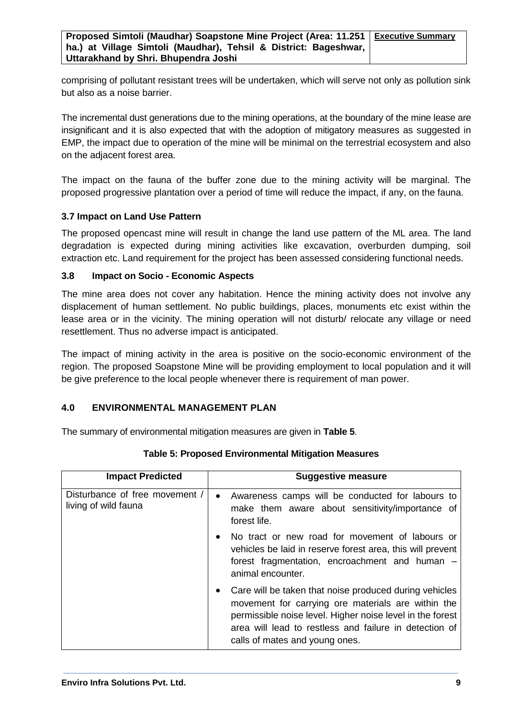comprising of pollutant resistant trees will be undertaken, which will serve not only as pollution sink but also as a noise barrier.

The incremental dust generations due to the mining operations, at the boundary of the mine lease are insignificant and it is also expected that with the adoption of mitigatory measures as suggested in EMP, the impact due to operation of the mine will be minimal on the terrestrial ecosystem and also on the adjacent forest area.

The impact on the fauna of the buffer zone due to the mining activity will be marginal. The proposed progressive plantation over a period of time will reduce the impact, if any, on the fauna.

#### **3.7 Impact on Land Use Pattern**

The proposed opencast mine will result in change the land use pattern of the ML area. The land degradation is expected during mining activities like excavation, overburden dumping, soil extraction etc. Land requirement for the project has been assessed considering functional needs.

#### **3.8 Impact on Socio - Economic Aspects**

The mine area does not cover any habitation. Hence the mining activity does not involve any displacement of human settlement. No public buildings, places, monuments etc exist within the lease area or in the vicinity. The mining operation will not disturb/ relocate any village or need resettlement. Thus no adverse impact is anticipated.

The impact of mining activity in the area is positive on the socio-economic environment of the region. The proposed Soapstone Mine will be providing employment to local population and it will be give preference to the local people whenever there is requirement of man power.

#### **4.0 ENVIRONMENTAL MANAGEMENT PLAN**

The summary of environmental mitigation measures are given in **Table 5**.

| <b>Impact Predicted</b>                                | <b>Suggestive measure</b>                                                                                                                                                                                                                                                          |
|--------------------------------------------------------|------------------------------------------------------------------------------------------------------------------------------------------------------------------------------------------------------------------------------------------------------------------------------------|
| Disturbance of free movement /<br>living of wild fauna | Awareness camps will be conducted for labours to<br>$\bullet$<br>make them aware about sensitivity/importance of<br>forest life.                                                                                                                                                   |
|                                                        | No tract or new road for movement of labours or<br>vehicles be laid in reserve forest area, this will prevent<br>forest fragmentation, encroachment and human -<br>animal encounter.                                                                                               |
|                                                        | Care will be taken that noise produced during vehicles<br>$\bullet$<br>movement for carrying ore materials are within the<br>permissible noise level. Higher noise level in the forest<br>area will lead to restless and failure in detection of<br>calls of mates and young ones. |

**Table 5: Proposed Environmental Mitigation Measures**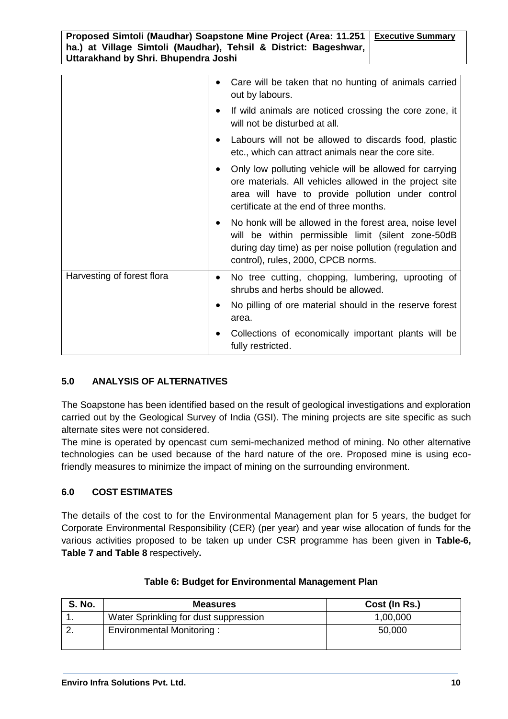|                            | Care will be taken that no hunting of animals carried<br>$\bullet$<br>out by labours.                                                                                                                              |
|----------------------------|--------------------------------------------------------------------------------------------------------------------------------------------------------------------------------------------------------------------|
|                            | If wild animals are noticed crossing the core zone, it<br>will not be disturbed at all.                                                                                                                            |
|                            | Labours will not be allowed to discards food, plastic<br>etc., which can attract animals near the core site.                                                                                                       |
|                            | Only low polluting vehicle will be allowed for carrying<br>ore materials. All vehicles allowed in the project site<br>area will have to provide pollution under control<br>certificate at the end of three months. |
|                            | No honk will be allowed in the forest area, noise level<br>will be within permissible limit (silent zone-50dB<br>during day time) as per noise pollution (regulation and<br>control), rules, 2000, CPCB norms.     |
| Harvesting of forest flora | No tree cutting, chopping, lumbering, uprooting of<br>$\bullet$<br>shrubs and herbs should be allowed.                                                                                                             |
|                            | No pilling of ore material should in the reserve forest<br>area.                                                                                                                                                   |
|                            | Collections of economically important plants will be<br>fully restricted.                                                                                                                                          |

#### **5.0 ANALYSIS OF ALTERNATIVES**

The Soapstone has been identified based on the result of geological investigations and exploration carried out by the Geological Survey of India (GSI). The mining projects are site specific as such alternate sites were not considered.

The mine is operated by opencast cum semi-mechanized method of mining. No other alternative technologies can be used because of the hard nature of the ore. Proposed mine is using ecofriendly measures to minimize the impact of mining on the surrounding environment.

#### **6.0 COST ESTIMATES**

The details of the cost to for the Environmental Management plan for 5 years, the budget for Corporate Environmental Responsibility (CER) (per year) and year wise allocation of funds for the various activities proposed to be taken up under CSR programme has been given in **Table-6, Table 7 and Table 8** respectively**.**

| <b>S. No.</b> | <b>Measures</b>                       | Cost (In Rs.) |
|---------------|---------------------------------------|---------------|
|               | Water Sprinkling for dust suppression | 1,00,000      |
|               | Environmental Monitoring:             | 50,000        |

#### **Table 6: Budget for Environmental Management Plan**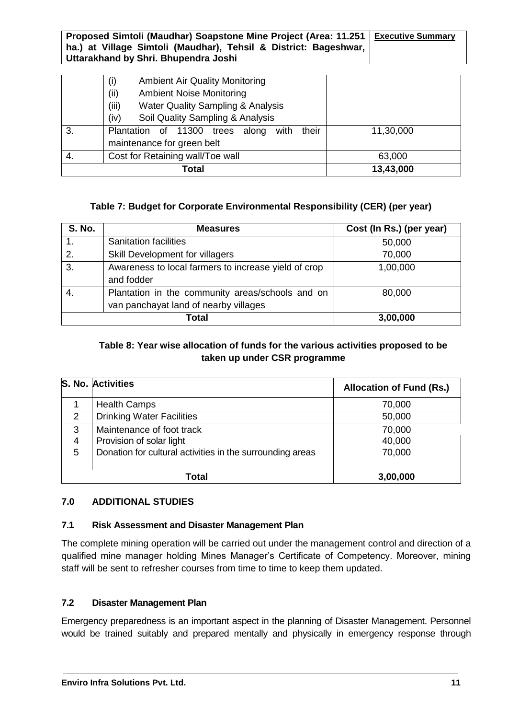|       | <b>Ambient Air Quality Monitoring</b><br>(i)<br><b>Ambient Noise Monitoring</b><br>(ii)<br><b>Water Quality Sampling &amp; Analysis</b><br>(iii)<br>Soil Quality Sampling & Analysis<br>(iv) |           |
|-------|----------------------------------------------------------------------------------------------------------------------------------------------------------------------------------------------|-----------|
| 3.    | Plantation of 11300 trees along with<br>their<br>maintenance for green belt                                                                                                                  | 11,30,000 |
| 4.    | Cost for Retaining wall/Toe wall                                                                                                                                                             | 63,000    |
| Total |                                                                                                                                                                                              | 13,43,000 |

#### **Table 7: Budget for Corporate Environmental Responsibility (CER) (per year)**

| <b>S. No.</b>    | <b>Measures</b>                                                                           | Cost (In Rs.) (per year) |
|------------------|-------------------------------------------------------------------------------------------|--------------------------|
| 1.               | <b>Sanitation facilities</b>                                                              | 50,000                   |
| 2.               | Skill Development for villagers                                                           | 70,000                   |
| $\overline{3}$ . | Awareness to local farmers to increase yield of crop<br>and fodder                        | 1,00,000                 |
| -4.              | Plantation in the community areas/schools and on<br>van panchayat land of nearby villages | 80,000                   |
|                  | Total                                                                                     | 3,00,000                 |

#### **Table 8: Year wise allocation of funds for the various activities proposed to be taken up under CSR programme**

|               | S. No. Activities                                         | <b>Allocation of Fund (Rs.)</b> |
|---------------|-----------------------------------------------------------|---------------------------------|
|               | <b>Health Camps</b>                                       | 70,000                          |
| $\mathcal{P}$ | <b>Drinking Water Facilities</b>                          | 50,000                          |
| 3             | Maintenance of foot track                                 | 70,000                          |
| 4             | Provision of solar light                                  | 40,000                          |
| 5             | Donation for cultural activities in the surrounding areas | 70,000                          |
|               | Total                                                     | 3,00,000                        |

#### **7.0 ADDITIONAL STUDIES**

#### **7.1 Risk Assessment and Disaster Management Plan**

The complete mining operation will be carried out under the management control and direction of a qualified mine manager holding Mines Manager's Certificate of Competency. Moreover, mining staff will be sent to refresher courses from time to time to keep them updated.

#### **7.2 Disaster Management Plan**

Emergency preparedness is an important aspect in the planning of Disaster Management. Personnel would be trained suitably and prepared mentally and physically in emergency response through